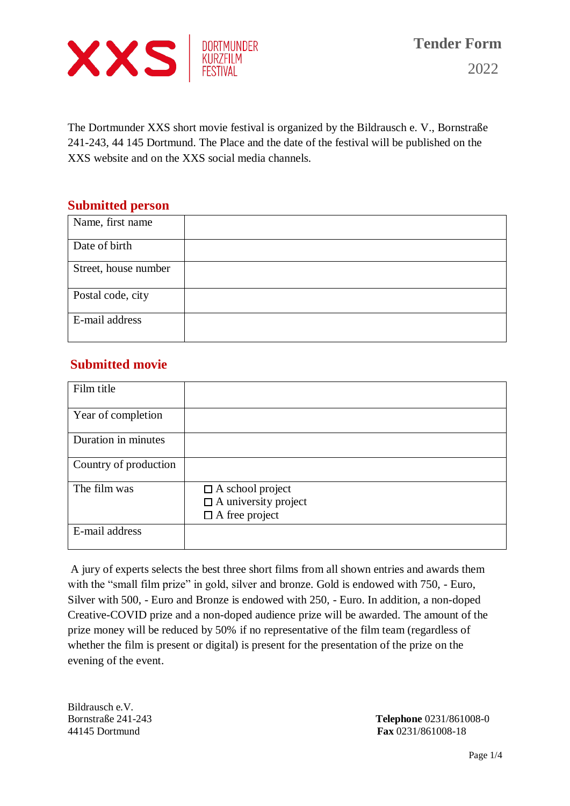

The Dortmunder XXS short movie festival is organized by the Bildrausch e. V., Bornstraße 241-243, 44 145 Dortmund. The Place and the date of the festival will be published on the XXS website and on the XXS social media channels.

#### **Submitted person**

| Name, first name     |  |
|----------------------|--|
| Date of birth        |  |
| Street, house number |  |
| Postal code, city    |  |
| E-mail address       |  |

## **Submitted movie**

| Film title            |                                                                                 |
|-----------------------|---------------------------------------------------------------------------------|
| Year of completion    |                                                                                 |
| Duration in minutes   |                                                                                 |
| Country of production |                                                                                 |
| The film was          | $\Box$ A school project<br>$\Box$ A university project<br>$\Box$ A free project |
| E-mail address        |                                                                                 |

A jury of experts selects the best three short films from all shown entries and awards them with the "small film prize" in gold, silver and bronze. Gold is endowed with 750, - Euro, Silver with 500, - Euro and Bronze is endowed with 250, - Euro. In addition, a non-doped Creative-COVID prize and a non-doped audience prize will be awarded. The amount of the prize money will be reduced by 50% if no representative of the film team (regardless of whether the film is present or digital) is present for the presentation of the prize on the evening of the event.

Bildrausch e.V.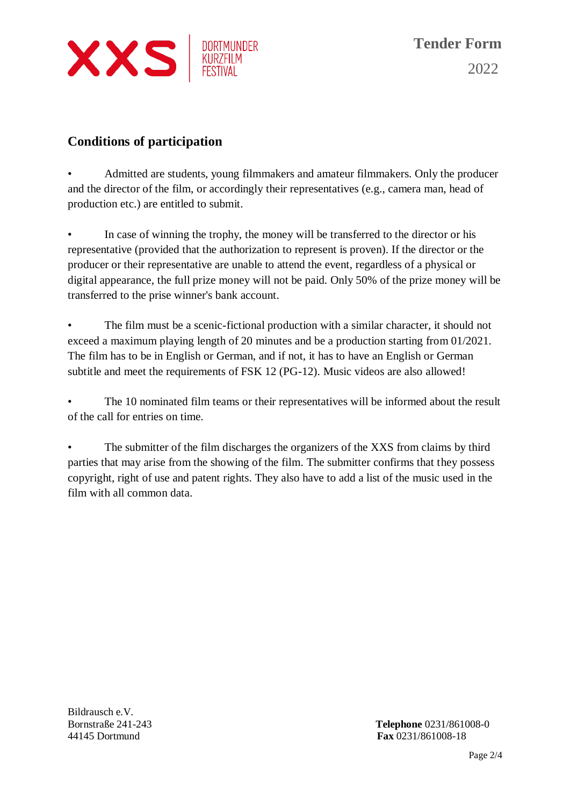

## **Conditions of participation**

• Admitted are students, young filmmakers and amateur filmmakers. Only the producer and the director of the film, or accordingly their representatives (e.g., camera man, head of production etc.) are entitled to submit.

• In case of winning the trophy, the money will be transferred to the director or his representative (provided that the authorization to represent is proven). If the director or the producer or their representative are unable to attend the event, regardless of a physical or digital appearance, the full prize money will not be paid. Only 50% of the prize money will be transferred to the prise winner's bank account.

The film must be a scenic-fictional production with a similar character, it should not exceed a maximum playing length of 20 minutes and be a production starting from 01/2021. The film has to be in English or German, and if not, it has to have an English or German subtitle and meet the requirements of FSK 12 (PG-12). Music videos are also allowed!

The 10 nominated film teams or their representatives will be informed about the result of the call for entries on time.

The submitter of the film discharges the organizers of the XXS from claims by third parties that may arise from the showing of the film. The submitter confirms that they possess copyright, right of use and patent rights. They also have to add a list of the music used in the film with all common data.

Bildrausch e.V.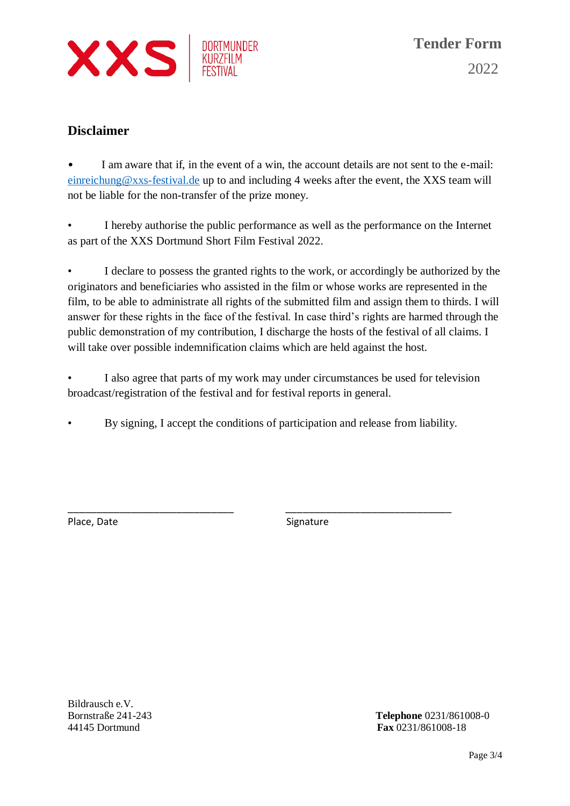

### **Disclaimer**

I am aware that if, in the event of a win, the account details are not sent to the e-mail: [einreichung@xxs-festival.de](mailto:einreichung@xxs-festival.de) up to and including 4 weeks after the event, the XXS team will not be liable for the non-transfer of the prize money.

• I hereby authorise the public performance as well as the performance on the Internet as part of the XXS Dortmund Short Film Festival 2022.

I declare to possess the granted rights to the work, or accordingly be authorized by the originators and beneficiaries who assisted in the film or whose works are represented in the film, to be able to administrate all rights of the submitted film and assign them to thirds. I will answer for these rights in the face of the festival. In case third's rights are harmed through the public demonstration of my contribution, I discharge the hosts of the festival of all claims. I will take over possible indemnification claims which are held against the host.

I also agree that parts of my work may under circumstances be used for television broadcast/registration of the festival and for festival reports in general.

• By signing, I accept the conditions of participation and release from liability.

\_\_\_\_\_\_\_\_\_\_\_\_\_\_\_\_\_\_\_\_\_\_\_\_\_\_\_\_\_ \_\_\_\_\_\_\_\_\_\_\_\_\_\_\_\_\_\_\_\_\_\_\_\_\_\_\_\_\_

Place, Date Signature Signature

Bildrausch e.V.